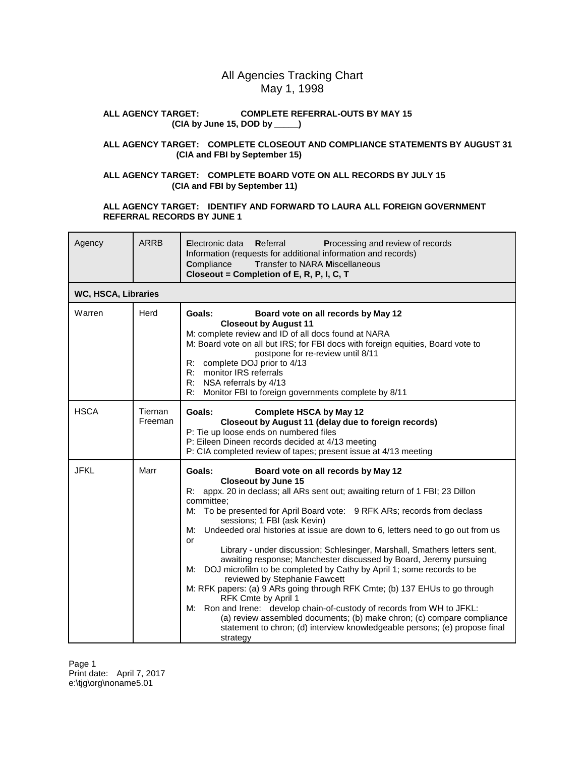# All Agencies Tracking Chart May 1, 1998

#### **ALL AGENCY TARGET: COMPLETE REFERRAL-OUTS BY MAY 15 (CIA by June 15, DOD by \_\_\_\_\_)**

## **ALL AGENCY TARGET: COMPLETE CLOSEOUT AND COMPLIANCE STATEMENTS BY AUGUST 31 (CIA and FBI by September 15)**

## **ALL AGENCY TARGET: COMPLETE BOARD VOTE ON ALL RECORDS BY JULY 15 (CIA and FBI by September 11)**

## **ALL AGENCY TARGET: IDENTIFY AND FORWARD TO LAURA ALL FOREIGN GOVERNMENT REFERRAL RECORDS BY JUNE 1**

| Agency      | <b>ARRB</b>         | Electronic data Referral<br>Processing and review of records<br>Information (requests for additional information and records)<br><b>Transfer to NARA Miscellaneous</b><br>Compliance<br>Closeout = Completion of E, R, P, I, C, T                                                                                                                                                                                                                                                                                                                                                                                                                                                                                                                                                                                                                                                                                                                                                                            |  |  |
|-------------|---------------------|--------------------------------------------------------------------------------------------------------------------------------------------------------------------------------------------------------------------------------------------------------------------------------------------------------------------------------------------------------------------------------------------------------------------------------------------------------------------------------------------------------------------------------------------------------------------------------------------------------------------------------------------------------------------------------------------------------------------------------------------------------------------------------------------------------------------------------------------------------------------------------------------------------------------------------------------------------------------------------------------------------------|--|--|
|             | WC, HSCA, Libraries |                                                                                                                                                                                                                                                                                                                                                                                                                                                                                                                                                                                                                                                                                                                                                                                                                                                                                                                                                                                                              |  |  |
| Warren      | Herd                | Goals:<br>Board vote on all records by May 12<br><b>Closeout by August 11</b><br>M: complete review and ID of all docs found at NARA<br>M: Board vote on all but IRS; for FBI docs with foreign equities, Board vote to<br>postpone for re-review until 8/11<br>R: complete DOJ prior to 4/13<br>R: monitor IRS referrals<br>R: NSA referrals by 4/13<br>Monitor FBI to foreign governments complete by 8/11<br>R:                                                                                                                                                                                                                                                                                                                                                                                                                                                                                                                                                                                           |  |  |
| <b>HSCA</b> | Tiernan<br>Freeman  | Goals:<br><b>Complete HSCA by May 12</b><br>Closeout by August 11 (delay due to foreign records)<br>P: Tie up loose ends on numbered files<br>P: Eileen Dineen records decided at 4/13 meeting<br>P: CIA completed review of tapes; present issue at 4/13 meeting                                                                                                                                                                                                                                                                                                                                                                                                                                                                                                                                                                                                                                                                                                                                            |  |  |
| <b>JFKL</b> | Marr                | Goals:<br>Board vote on all records by May 12<br><b>Closeout by June 15</b><br>R: appx. 20 in declass; all ARs sent out; awaiting return of 1 FBI; 23 Dillon<br>committee;<br>To be presented for April Board vote: 9 RFK ARs; records from declass<br>М:<br>sessions; 1 FBI (ask Kevin)<br>Undeeded oral histories at issue are down to 6, letters need to go out from us<br>M:<br>or<br>Library - under discussion; Schlesinger, Marshall, Smathers letters sent,<br>awaiting response; Manchester discussed by Board, Jeremy pursuing<br>DOJ microfilm to be completed by Cathy by April 1; some records to be<br>M:<br>reviewed by Stephanie Fawcett<br>M: RFK papers: (a) 9 ARs going through RFK Cmte; (b) 137 EHUs to go through<br>RFK Cmte by April 1<br>M: Ron and Irene: develop chain-of-custody of records from WH to JFKL:<br>(a) review assembled documents; (b) make chron; (c) compare compliance<br>statement to chron; (d) interview knowledgeable persons; (e) propose final<br>strategy |  |  |

Page 1 Print date: April 7, 2017 e:\tjg\org\noname5.01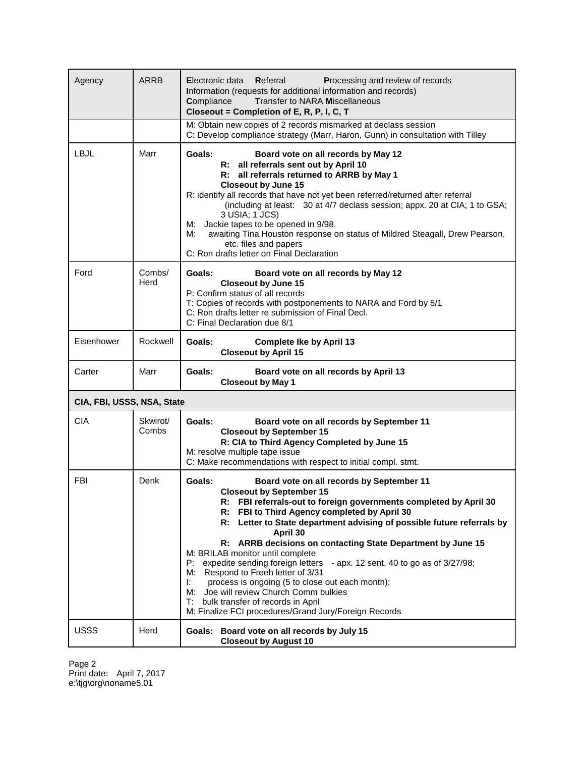| Agency                     | ARRB              | Electronic data<br>Referral<br>Processing and review of records<br>Information (requests for additional information and records)<br><b>Transfer to NARA Miscellaneous</b><br>Compliance<br>Closeout = Completion of E, R, P, I, C, T                                                                                                                                                                                                                                                                                                                                                                                                                                                                                                      |  |
|----------------------------|-------------------|-------------------------------------------------------------------------------------------------------------------------------------------------------------------------------------------------------------------------------------------------------------------------------------------------------------------------------------------------------------------------------------------------------------------------------------------------------------------------------------------------------------------------------------------------------------------------------------------------------------------------------------------------------------------------------------------------------------------------------------------|--|
|                            |                   | M: Obtain new copies of 2 records mismarked at declass session<br>C: Develop compliance strategy (Marr, Haron, Gunn) in consultation with Tilley                                                                                                                                                                                                                                                                                                                                                                                                                                                                                                                                                                                          |  |
| <b>LBJL</b>                | Marr              | Goals:<br>Board vote on all records by May 12<br>R: all referrals sent out by April 10<br>R: all referrals returned to ARRB by May 1<br><b>Closeout by June 15</b><br>R: identify all records that have not yet been referred/returned after referral<br>(including at least: 30 at 4/7 declass session; appx. 20 at CIA; 1 to GSA;<br>3 USIA; 1 JCS)<br>Jackie tapes to be opened in 9/98.<br>M:<br>M:<br>awaiting Tina Houston response on status of Mildred Steagall, Drew Pearson,<br>etc. files and papers<br>C: Ron drafts letter on Final Declaration                                                                                                                                                                              |  |
| Ford                       | Combs/<br>Herd    | Goals:<br>Board vote on all records by May 12<br><b>Closeout by June 15</b><br>P: Confirm status of all records<br>T: Copies of records with postponements to NARA and Ford by 5/1<br>C: Ron drafts letter re submission of Final Decl.<br>C: Final Declaration due 8/1                                                                                                                                                                                                                                                                                                                                                                                                                                                                   |  |
| Eisenhower                 | Rockwell          | Goals:<br><b>Complete Ike by April 13</b><br><b>Closeout by April 15</b>                                                                                                                                                                                                                                                                                                                                                                                                                                                                                                                                                                                                                                                                  |  |
| Carter                     | Marr              | Goals:<br>Board vote on all records by April 13<br><b>Closeout by May 1</b>                                                                                                                                                                                                                                                                                                                                                                                                                                                                                                                                                                                                                                                               |  |
| CIA, FBI, USSS, NSA, State |                   |                                                                                                                                                                                                                                                                                                                                                                                                                                                                                                                                                                                                                                                                                                                                           |  |
| <b>CIA</b>                 | Skwirot/<br>Combs | Goals:<br>Board vote on all records by September 11<br><b>Closeout by September 15</b><br>R: CIA to Third Agency Completed by June 15<br>M: resolve multiple tape issue<br>C: Make recommendations with respect to initial compl. stmt.                                                                                                                                                                                                                                                                                                                                                                                                                                                                                                   |  |
| FBI                        | Denk              | Goals:<br>Board vote on all records by September 11<br><b>Closeout by September 15</b><br>R: FBI referrals-out to foreign governments completed by April 30<br>FBI to Third Agency completed by April 30<br>R:<br>R: Letter to State department advising of possible future referrals by<br>April 30<br>R: ARRB decisions on contacting State Department by June 15<br>M: BRILAB monitor until complete<br>P: expedite sending foreign letters<br>- apx. 12 sent, 40 to go as of 3/27/98;<br>M: Respond to Freeh letter of 3/31<br>process is ongoing (5 to close out each month);<br>Ŀ.<br>Joe will review Church Comm bulkies<br>M:<br>bulk transfer of records in April<br>T:<br>M: Finalize FCI procedures/Grand Jury/Foreign Records |  |
| USSS                       | Herd              | Goals:<br>Board vote on all records by July 15<br><b>Closeout by August 10</b>                                                                                                                                                                                                                                                                                                                                                                                                                                                                                                                                                                                                                                                            |  |

Page 2 Print date: April 7, 2017 e:\tjg\org\noname5.01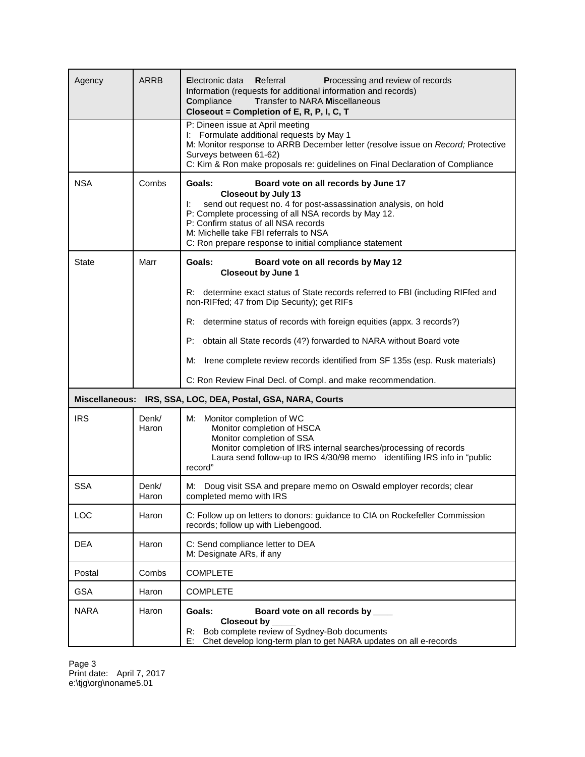| Agency                | <b>ARRB</b>    | Electronic data<br>Referral<br>Processing and review of records<br>Information (requests for additional information and records)<br><b>Transfer to NARA Miscellaneous</b><br>Compliance<br>Closeout = Completion of E, R, P, I, C, T                                                                                                                      |
|-----------------------|----------------|-----------------------------------------------------------------------------------------------------------------------------------------------------------------------------------------------------------------------------------------------------------------------------------------------------------------------------------------------------------|
|                       |                | P: Dineen issue at April meeting<br>I: Formulate additional requests by May 1<br>M: Monitor response to ARRB December letter (resolve issue on Record; Protective<br>Surveys between 61-62)<br>C: Kim & Ron make proposals re: guidelines on Final Declaration of Compliance                                                                              |
| <b>NSA</b>            | Combs          | Goals:<br>Board vote on all records by June 17<br><b>Closeout by July 13</b><br>send out request no. 4 for post-assassination analysis, on hold<br>Ŀ.<br>P: Complete processing of all NSA records by May 12.<br>P: Confirm status of all NSA records<br>M: Michelle take FBI referrals to NSA<br>C: Ron prepare response to initial compliance statement |
| <b>State</b>          | Marr           | Goals:<br>Board vote on all records by May 12<br><b>Closeout by June 1</b>                                                                                                                                                                                                                                                                                |
|                       |                | R: determine exact status of State records referred to FBI (including RIFfed and<br>non-RIFfed; 47 from Dip Security); get RIFs                                                                                                                                                                                                                           |
|                       |                | determine status of records with foreign equities (appx. 3 records?)<br>R:                                                                                                                                                                                                                                                                                |
|                       |                | P:<br>obtain all State records (4?) forwarded to NARA without Board vote                                                                                                                                                                                                                                                                                  |
|                       |                | Irene complete review records identified from SF 135s (esp. Rusk materials)<br>М:                                                                                                                                                                                                                                                                         |
|                       |                | C: Ron Review Final Decl. of Compl. and make recommendation.                                                                                                                                                                                                                                                                                              |
| <b>Miscellaneous:</b> |                | IRS, SSA, LOC, DEA, Postal, GSA, NARA, Courts                                                                                                                                                                                                                                                                                                             |
| <b>IRS</b>            | Denk/<br>Haron | M: Monitor completion of WC<br>Monitor completion of HSCA<br>Monitor completion of SSA<br>Monitor completion of IRS internal searches/processing of records<br>Laura send follow-up to IRS 4/30/98 memo identifiing IRS info in "public<br>record"                                                                                                        |
| <b>SSA</b>            | Denk/<br>Haron | M: Doug visit SSA and prepare memo on Oswald employer records; clear<br>completed memo with IRS                                                                                                                                                                                                                                                           |
| LOC                   | Haron          | C: Follow up on letters to donors: guidance to CIA on Rockefeller Commission<br>records; follow up with Liebengood.                                                                                                                                                                                                                                       |
| <b>DEA</b>            | Haron          | C: Send compliance letter to DEA<br>M: Designate ARs, if any                                                                                                                                                                                                                                                                                              |
| Postal                | Combs          | <b>COMPLETE</b>                                                                                                                                                                                                                                                                                                                                           |
| <b>GSA</b>            | Haron          | <b>COMPLETE</b>                                                                                                                                                                                                                                                                                                                                           |
| <b>NARA</b>           | Haron          | Goals:<br>Board vote on all records by ____<br>Closeout by<br>Bob complete review of Sydney-Bob documents<br>R:<br>Chet develop long-term plan to get NARA updates on all e-records<br>E:                                                                                                                                                                 |

Page 3 Print date: April 7, 2017 e:\tjg\org\noname5.01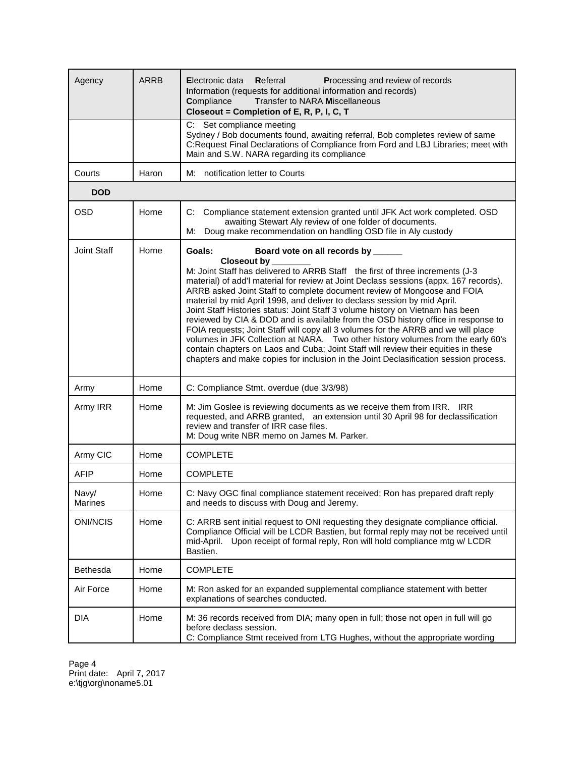| Agency                  | ARRB  | Electronic data<br>Referral<br>Processing and review of records<br>Information (requests for additional information and records)<br><b>Transfer to NARA Miscellaneous</b><br>Compliance<br>Closeout = Completion of E, R, P, I, C, T                                                                                                                                                                                                                                                                                                                                                                                                                                                                                                                                                                                                                                       |
|-------------------------|-------|----------------------------------------------------------------------------------------------------------------------------------------------------------------------------------------------------------------------------------------------------------------------------------------------------------------------------------------------------------------------------------------------------------------------------------------------------------------------------------------------------------------------------------------------------------------------------------------------------------------------------------------------------------------------------------------------------------------------------------------------------------------------------------------------------------------------------------------------------------------------------|
|                         |       | C: Set compliance meeting<br>Sydney / Bob documents found, awaiting referral, Bob completes review of same<br>C:Request Final Declarations of Compliance from Ford and LBJ Libraries; meet with<br>Main and S.W. NARA regarding its compliance                                                                                                                                                                                                                                                                                                                                                                                                                                                                                                                                                                                                                             |
| Courts                  | Haron | notification letter to Courts<br>M:                                                                                                                                                                                                                                                                                                                                                                                                                                                                                                                                                                                                                                                                                                                                                                                                                                        |
| <b>DOD</b>              |       |                                                                                                                                                                                                                                                                                                                                                                                                                                                                                                                                                                                                                                                                                                                                                                                                                                                                            |
| <b>OSD</b>              | Horne | C: Compliance statement extension granted until JFK Act work completed. OSD<br>awaiting Stewart Aly review of one folder of documents.<br>Doug make recommendation on handling OSD file in Aly custody<br>М:                                                                                                                                                                                                                                                                                                                                                                                                                                                                                                                                                                                                                                                               |
| Joint Staff             | Horne | Board vote on all records by ______<br>Goals:                                                                                                                                                                                                                                                                                                                                                                                                                                                                                                                                                                                                                                                                                                                                                                                                                              |
|                         |       | Closeout by<br>M: Joint Staff has delivered to ARRB Staff the first of three increments (J-3<br>material) of add'l material for review at Joint Declass sessions (appx. 167 records).<br>ARRB asked Joint Staff to complete document review of Mongoose and FOIA<br>material by mid April 1998, and deliver to declass session by mid April.<br>Joint Staff Histories status: Joint Staff 3 volume history on Vietnam has been<br>reviewed by CIA & DOD and is available from the OSD history office in response to<br>FOIA requests; Joint Staff will copy all 3 volumes for the ARRB and we will place<br>volumes in JFK Collection at NARA. Two other history volumes from the early 60's<br>contain chapters on Laos and Cuba; Joint Staff will review their equities in these<br>chapters and make copies for inclusion in the Joint Declasification session process. |
| Army                    | Horne | C: Compliance Stmt. overdue (due 3/3/98)                                                                                                                                                                                                                                                                                                                                                                                                                                                                                                                                                                                                                                                                                                                                                                                                                                   |
| Army IRR                | Horne | M: Jim Goslee is reviewing documents as we receive them from IRR. IRR<br>requested, and ARRB granted, an extension until 30 April 98 for declassification<br>review and transfer of IRR case files.<br>M: Doug write NBR memo on James M. Parker.                                                                                                                                                                                                                                                                                                                                                                                                                                                                                                                                                                                                                          |
| Army CIC                | Horne | <b>COMPLETE</b>                                                                                                                                                                                                                                                                                                                                                                                                                                                                                                                                                                                                                                                                                                                                                                                                                                                            |
| <b>AFIP</b>             | Horne | <b>COMPLETE</b>                                                                                                                                                                                                                                                                                                                                                                                                                                                                                                                                                                                                                                                                                                                                                                                                                                                            |
| Navy/<br><b>Marines</b> | Horne | C: Navy OGC final compliance statement received; Ron has prepared draft reply<br>and needs to discuss with Doug and Jeremy.                                                                                                                                                                                                                                                                                                                                                                                                                                                                                                                                                                                                                                                                                                                                                |
| ONI/NCIS                | Horne | C: ARRB sent initial request to ONI requesting they designate compliance official.<br>Compliance Official will be LCDR Bastien, but formal reply may not be received until<br>mid-April. Upon receipt of formal reply, Ron will hold compliance mtg w/ LCDR<br>Bastien.                                                                                                                                                                                                                                                                                                                                                                                                                                                                                                                                                                                                    |
| <b>Bethesda</b>         | Horne | <b>COMPLETE</b>                                                                                                                                                                                                                                                                                                                                                                                                                                                                                                                                                                                                                                                                                                                                                                                                                                                            |
| Air Force               | Horne | M: Ron asked for an expanded supplemental compliance statement with better<br>explanations of searches conducted.                                                                                                                                                                                                                                                                                                                                                                                                                                                                                                                                                                                                                                                                                                                                                          |
| <b>DIA</b>              | Horne | M: 36 records received from DIA; many open in full; those not open in full will go<br>before declass session.<br>C: Compliance Stmt received from LTG Hughes, without the appropriate wording                                                                                                                                                                                                                                                                                                                                                                                                                                                                                                                                                                                                                                                                              |

Page 4 Print date: April 7, 2017 e:\tjg\org\noname5.01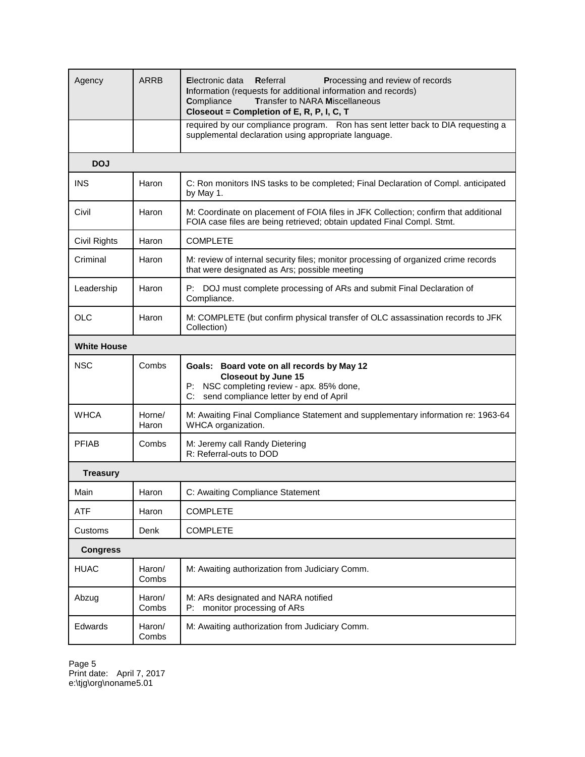| Agency              | <b>ARRB</b>     | Electronic data<br>Referral<br>Processing and review of records<br>Information (requests for additional information and records)<br><b>Transfer to NARA Miscellaneous</b><br>Compliance<br>Closeout = Completion of E, R, P, I, C, T |
|---------------------|-----------------|--------------------------------------------------------------------------------------------------------------------------------------------------------------------------------------------------------------------------------------|
|                     |                 | required by our compliance program. Ron has sent letter back to DIA requesting a<br>supplemental declaration using appropriate language.                                                                                             |
| <b>DOJ</b>          |                 |                                                                                                                                                                                                                                      |
| <b>INS</b>          | Haron           | C: Ron monitors INS tasks to be completed; Final Declaration of Compl. anticipated<br>by May 1.                                                                                                                                      |
| Civil               | Haron           | M: Coordinate on placement of FOIA files in JFK Collection; confirm that additional<br>FOIA case files are being retrieved; obtain updated Final Compl. Stmt.                                                                        |
| <b>Civil Rights</b> | Haron           | <b>COMPLETE</b>                                                                                                                                                                                                                      |
| Criminal            | Haron           | M: review of internal security files; monitor processing of organized crime records<br>that were designated as Ars; possible meeting                                                                                                 |
| Leadership          | Haron           | DOJ must complete processing of ARs and submit Final Declaration of<br>P:<br>Compliance.                                                                                                                                             |
| <b>OLC</b>          | Haron           | M: COMPLETE (but confirm physical transfer of OLC assassination records to JFK<br>Collection)                                                                                                                                        |
| <b>White House</b>  |                 |                                                                                                                                                                                                                                      |
| <b>NSC</b>          | Combs           | Goals: Board vote on all records by May 12<br><b>Closeout by June 15</b><br>NSC completing review - apx. 85% done,<br>P:<br>send compliance letter by end of April<br>C:                                                             |
| <b>WHCA</b>         | Horne/<br>Haron | M: Awaiting Final Compliance Statement and supplementary information re: 1963-64<br>WHCA organization.                                                                                                                               |
| <b>PFIAB</b>        | Combs           | M: Jeremy call Randy Dietering<br>R: Referral-outs to DOD                                                                                                                                                                            |
| <b>Treasury</b>     |                 |                                                                                                                                                                                                                                      |
| Main                | Haron           | C: Awaiting Compliance Statement                                                                                                                                                                                                     |
| <b>ATF</b>          | Haron           | <b>COMPLETE</b>                                                                                                                                                                                                                      |
| Customs             | Denk            | <b>COMPLETE</b>                                                                                                                                                                                                                      |
| <b>Congress</b>     |                 |                                                                                                                                                                                                                                      |
| <b>HUAC</b>         | Haron/<br>Combs | M: Awaiting authorization from Judiciary Comm.                                                                                                                                                                                       |
| Abzug               | Haron/<br>Combs | M: ARs designated and NARA notified<br>monitor processing of ARs<br>P:                                                                                                                                                               |
| Edwards             | Haron/<br>Combs | M: Awaiting authorization from Judiciary Comm.                                                                                                                                                                                       |

Page 5 Print date: April 7, 2017 e:\tjg\org\noname5.01